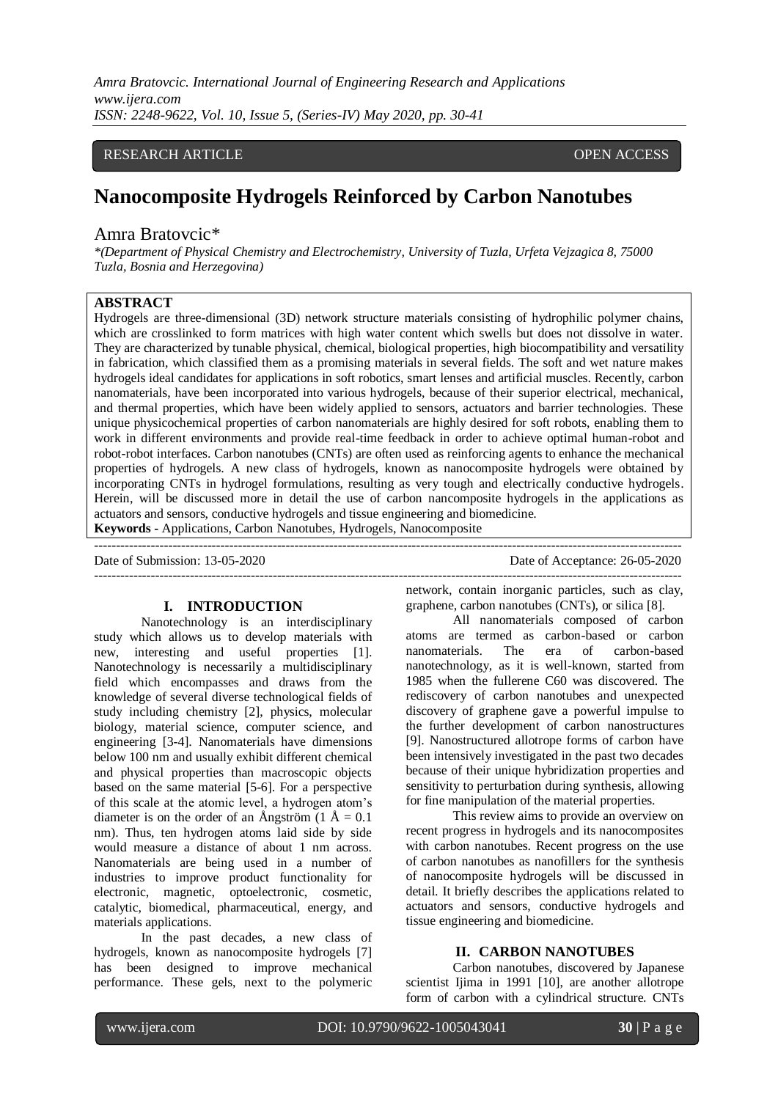*Amra Bratovcic. International Journal of Engineering Research and Applications www.ijera.com ISSN: 2248-9622, Vol. 10, Issue 5, (Series-IV) May 2020, pp. 30-41*

#### RESEARCH ARTICLE **CONSERVERS** OPEN ACCESS

# **Nanocomposite Hydrogels Reinforced by Carbon Nanotubes**

#### Amra Bratovcic\*

*\*(Department of Physical Chemistry and Electrochemistry, University of Tuzla, Urfeta Vejzagica 8, 75000 Tuzla, Bosnia and Herzegovina)*

## **ABSTRACT**

Hydrogels are three-dimensional (3D) network structure materials consisting of hydrophilic polymer chains, which are crosslinked to form matrices with high water content which swells but does not dissolve in water. They are characterized by tunable physical, chemical, biological properties, high biocompatibility and versatility in fabrication, which classified them as a promising materials in several fields. The soft and wet nature makes hydrogels ideal candidates for applications in soft robotics, smart lenses and artificial muscles. Recently, carbon nanomaterials, have been incorporated into various hydrogels, because of their superior electrical, mechanical, and thermal properties, which have been widely applied to sensors, actuators and barrier technologies. These unique physicochemical properties of carbon nanomaterials are highly desired for soft robots, enabling them to work in different environments and provide real-time feedback in order to achieve optimal human-robot and robot-robot interfaces. Carbon nanotubes (CNTs) are often used as reinforcing agents to enhance the mechanical properties of hydrogels. A new class of hydrogels, known as nanocomposite hydrogels were obtained by incorporating CNTs in hydrogel formulations, resulting as very tough and electrically conductive hydrogels. Herein, will be discussed more in detail the use of carbon nancomposite hydrogels in the applications as actuators and sensors, conductive hydrogels and tissue engineering and biomedicine.

---------------------------------------------------------------------------------------------------------------------------------------

**Keywords -** Applications, Carbon Nanotubes, Hydrogels, Nanocomposite

Date of Submission: 13-05-2020 Date of Acceptance: 26-05-2020

---------------------------------------------------------------------------------------------------------------------------------------

#### **I. INTRODUCTION**

Nanotechnology is an interdisciplinary study which allows us to develop materials with new, interesting and useful properties [1]. Nanotechnology is necessarily a multidisciplinary field which encompasses and draws from the knowledge of several diverse technological fields of study including chemistry [2], physics, molecular biology, material science, computer science, and engineering [3-4]. Nanomaterials have dimensions below 100 nm and usually exhibit different chemical and physical properties than macroscopic objects based on the same material [5-6]. For a perspective of this scale at the atomic level, a hydrogen atom's diameter is on the order of an Ångström (1 Å =  $0.1$ ) nm). Thus, ten hydrogen atoms laid side by side would measure a distance of about 1 nm across. Nanomaterials are being used in a number of industries to improve product functionality for electronic, magnetic, optoelectronic, cosmetic, catalytic, biomedical, pharmaceutical, energy, and materials applications.

In the past decades, a new class of hydrogels, known as nanocomposite hydrogels [7] has been designed to improve mechanical performance. These gels, next to the polymeric

network, contain inorganic particles, such as clay, graphene, carbon nanotubes (CNTs), or silica [8].

All nanomaterials composed of carbon atoms are termed as carbon-based or carbon nanomaterials. The era of carbon-based nanotechnology, as it is well-known, started from 1985 when the fullerene C60 was discovered. The rediscovery of carbon nanotubes and unexpected discovery of graphene gave a powerful impulse to the further development of carbon nanostructures [9]. Nanostructured allotrope forms of carbon have been intensively investigated in the past two decades because of their unique hybridization properties and sensitivity to perturbation during synthesis, allowing for fine manipulation of the material properties.

This review aims to provide an overview on recent progress in hydrogels and its nanocomposites with carbon nanotubes. Recent progress on the use of carbon nanotubes as nanofillers for the synthesis of nanocomposite hydrogels will be discussed in detail. It briefly describes the applications related to actuators and sensors, conductive hydrogels and tissue engineering and biomedicine.

#### **II. CARBON NANOTUBES**

Carbon nanotubes, discovered by Japanese scientist Ijima in 1991 [10], are another allotrope form of carbon with a cylindrical structure. CNTs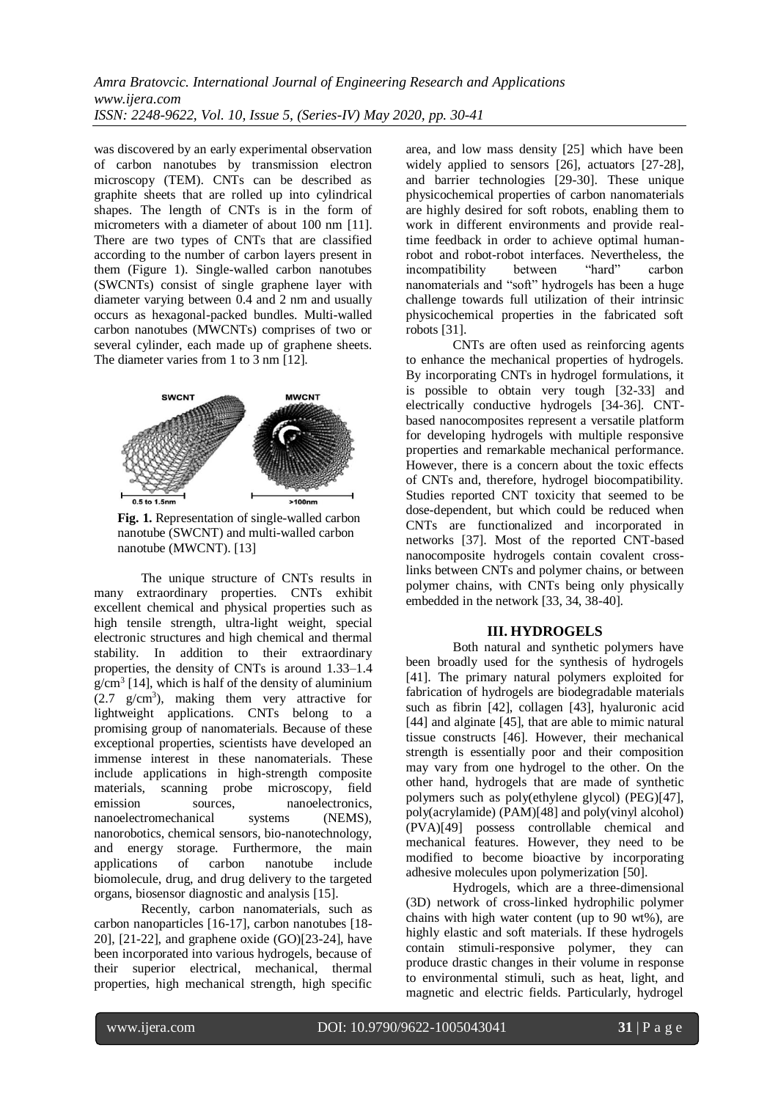was discovered by an early experimental observation of carbon nanotubes by transmission electron microscopy (TEM). CNTs can be described as graphite sheets that are rolled up into cylindrical shapes. The length of CNTs is in the form of micrometers with a diameter of about 100 nm [11]. There are two types of CNTs that are classified according to the number of carbon layers present in them (Figure 1). Single-walled carbon nanotubes (SWCNTs) consist of single graphene layer with diameter varying between 0.4 and 2 nm and usually occurs as hexagonal-packed bundles. Multi-walled carbon nanotubes (MWCNTs) comprises of two or several cylinder, each made up of graphene sheets. The diameter varies from 1 to 3 nm [12].



**Fig. 1.** Representation of single-walled carbon nanotube (SWCNT) and multi-walled carbon nanotube (MWCNT). [13]

The unique structure of CNTs results in many extraordinary properties. CNTs exhibit excellent chemical and physical properties such as high tensile strength, ultra-light weight, special electronic structures and high chemical and thermal stability. In addition to their extraordinary properties, the density of CNTs is around 1.33–1.4  $g/cm<sup>3</sup>$  [14], which is half of the density of aluminium  $(2.7 \text{ g/cm}^3)$ , making them very attractive for lightweight applications. CNTs belong to a promising group of nanomaterials. Because of these exceptional properties, scientists have developed an immense interest in these nanomaterials. These include applications in high-strength composite materials, scanning probe microscopy, field emission sources, nanoelectronics, nanoelectromechanical systems (NEMS), nanorobotics, chemical sensors, bio-nanotechnology, and energy storage. Furthermore, the main applications of carbon nanotube include biomolecule, drug, and drug delivery to the targeted organs, biosensor diagnostic and analysis [15].

Recently, carbon nanomaterials, such as carbon nanoparticles [16-17], carbon nanotubes [18- 20], [21-22], and graphene oxide (GO)[23-24], have been incorporated into various hydrogels, because of their superior electrical, mechanical, thermal properties, high mechanical strength, high specific

area, and low mass density [25] which have been widely applied to sensors [26], actuators [27-28], and barrier technologies [29-30]. These unique physicochemical properties of carbon nanomaterials are highly desired for soft robots, enabling them to work in different environments and provide realtime feedback in order to achieve optimal humanrobot and robot-robot interfaces. Nevertheless, the<br>incompatibility between "hard" carbon incompatibility between "hard" carbon nanomaterials and "soft" hydrogels has been a huge challenge towards full utilization of their intrinsic physicochemical properties in the fabricated soft robots [31].

CNTs are often used as reinforcing agents to enhance the mechanical properties of hydrogels. By incorporating CNTs in hydrogel formulations, it is possible to obtain very tough [32-33] and electrically conductive hydrogels [34-36]. CNTbased nanocomposites represent a versatile platform for developing hydrogels with multiple responsive properties and remarkable mechanical performance. However, there is a concern about the toxic effects of CNTs and, therefore, hydrogel biocompatibility. Studies reported CNT toxicity that seemed to be dose-dependent, but which could be reduced when CNTs are functionalized and incorporated in networks [37]. Most of the reported CNT-based nanocomposite hydrogels contain covalent crosslinks between CNTs and polymer chains, or between polymer chains, with CNTs being only physically embedded in the network [33, 34, 38-40].

#### **III. HYDROGELS**

Both natural and synthetic polymers have been broadly used for the synthesis of hydrogels [41]. The primary natural polymers exploited for fabrication of hydrogels are biodegradable materials such as fibrin [42], collagen [43], hyaluronic acid [44] and alginate [45], that are able to mimic natural tissue constructs [46]. However, their mechanical strength is essentially poor and their composition may vary from one hydrogel to the other. On the other hand, hydrogels that are made of synthetic polymers such as poly(ethylene glycol) (PEG)[47], poly(acrylamide) (PAM)[48] and poly(vinyl alcohol) (PVA)[49] possess controllable chemical and mechanical features. However, they need to be modified to become bioactive by incorporating adhesive molecules upon polymerization [50].

Hydrogels, which are a three-dimensional (3D) network of cross-linked hydrophilic polymer chains with high water content (up to 90 wt%), are highly elastic and soft materials. If these hydrogels contain stimuli-responsive polymer, they can produce drastic changes in their volume in response to environmental stimuli, such as heat, light, and magnetic and electric fields. Particularly, hydrogel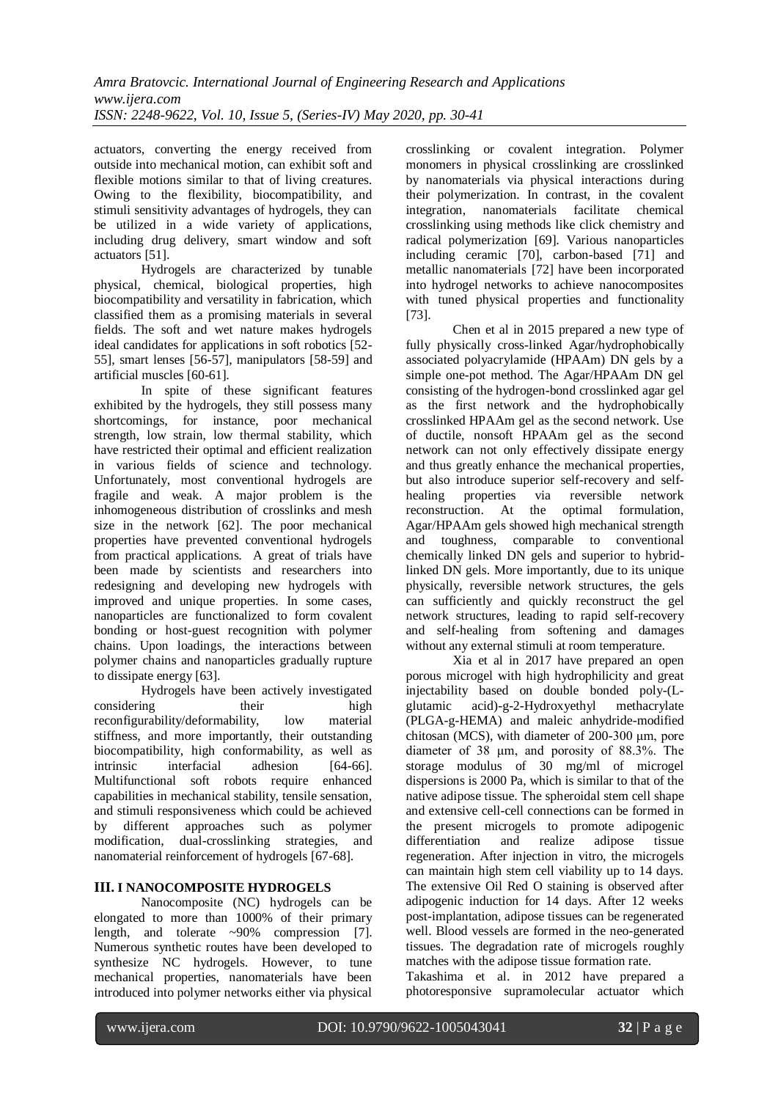actuators, converting the energy received from outside into mechanical motion, can exhibit soft and flexible motions similar to that of living creatures. Owing to the flexibility, biocompatibility, and stimuli sensitivity advantages of hydrogels, they can be utilized in a wide variety of applications, including drug delivery, smart window and soft actuators [51].

Hydrogels are characterized by tunable physical, chemical, biological properties, high biocompatibility and versatility in fabrication, which classified them as a promising materials in several fields. The soft and wet nature makes hydrogels ideal candidates for applications in soft robotics [52- 55], smart lenses [56-57], manipulators [58-59] and artificial muscles [60-61].

In spite of these significant features exhibited by the hydrogels, they still possess many shortcomings, for instance, poor mechanical strength, low strain, low thermal stability, which have restricted their optimal and efficient realization in various fields of science and technology. Unfortunately, most conventional hydrogels are fragile and weak. A major problem is the inhomogeneous distribution of crosslinks and mesh size in the network [62]. The poor mechanical properties have prevented conventional hydrogels from practical applications. A great of trials have been made by scientists and researchers into redesigning and developing new hydrogels with improved and unique properties. In some cases, nanoparticles are functionalized to form covalent bonding or host-guest recognition with polymer chains. Upon loadings, the interactions between polymer chains and nanoparticles gradually rupture to dissipate energy [63].

Hydrogels have been actively investigated considering their high reconfigurability/deformability, low material stiffness, and more importantly, their outstanding biocompatibility, high conformability, as well as intrinsic interfacial adhesion [64-66]. Multifunctional soft robots require enhanced capabilities in mechanical stability, tensile sensation, and stimuli responsiveness which could be achieved by different approaches such as polymer modification, dual-crosslinking strategies, and nanomaterial reinforcement of hydrogels [67-68].

## **III. I NANOCOMPOSITE HYDROGELS**

Nanocomposite (NC) hydrogels can be elongated to more than 1000% of their primary length, and tolerate ~90% compression [7]. Numerous synthetic routes have been developed to synthesize NC hydrogels. However, to tune mechanical properties, nanomaterials have been introduced into polymer networks either via physical

crosslinking or covalent integration. Polymer monomers in physical crosslinking are crosslinked by nanomaterials via physical interactions during their polymerization. In contrast, in the covalent integration, nanomaterials facilitate chemical crosslinking using methods like click chemistry and radical polymerization [69]. Various nanoparticles including ceramic [70], carbon-based [71] and metallic nanomaterials [72] have been incorporated into hydrogel networks to achieve nanocomposites with tuned physical properties and functionality [73].

Chen et al in 2015 prepared a new type of fully physically cross-linked Agar/hydrophobically associated polyacrylamide (HPAAm) DN gels by a simple one-pot method. The Agar/HPAAm DN gel consisting of the hydrogen-bond crosslinked agar gel as the first network and the hydrophobically crosslinked HPAAm gel as the second network. Use of ductile, nonsoft HPAAm gel as the second network can not only effectively dissipate energy and thus greatly enhance the mechanical properties, but also introduce superior self-recovery and selfhealing properties via reversible network reconstruction. At the optimal formulation, Agar/HPAAm gels showed high mechanical strength and toughness, comparable to conventional chemically linked DN gels and superior to hybridlinked DN gels. More importantly, due to its unique physically, reversible network structures, the gels can sufficiently and quickly reconstruct the gel network structures, leading to rapid self-recovery and self-healing from softening and damages without any external stimuli at room temperature.

Xia et al in 2017 have prepared an open porous microgel with high hydrophilicity and great injectability based on double bonded poly-(Lglutamic acid)-g-2-Hydroxyethyl methacrylate (PLGA-g-HEMA) and maleic anhydride-modified chitosan (MCS), with diameter of 200-300 μm, pore diameter of 38 μm, and porosity of 88.3%. The storage modulus of 30 mg/ml of microgel dispersions is 2000 Pa, which is similar to that of the native adipose tissue. The spheroidal stem cell shape and extensive cell-cell connections can be formed in the present microgels to promote adipogenic differentiation and realize adipose tissue regeneration. After injection in vitro, the microgels can maintain high stem cell viability up to 14 days. The extensive Oil Red O staining is observed after adipogenic induction for 14 days. After 12 weeks post-implantation, adipose tissues can be regenerated well. Blood vessels are formed in the neo-generated tissues. The degradation rate of microgels roughly matches with the adipose tissue formation rate.

Takashima et al. in 2012 have prepared a photoresponsive supramolecular actuator which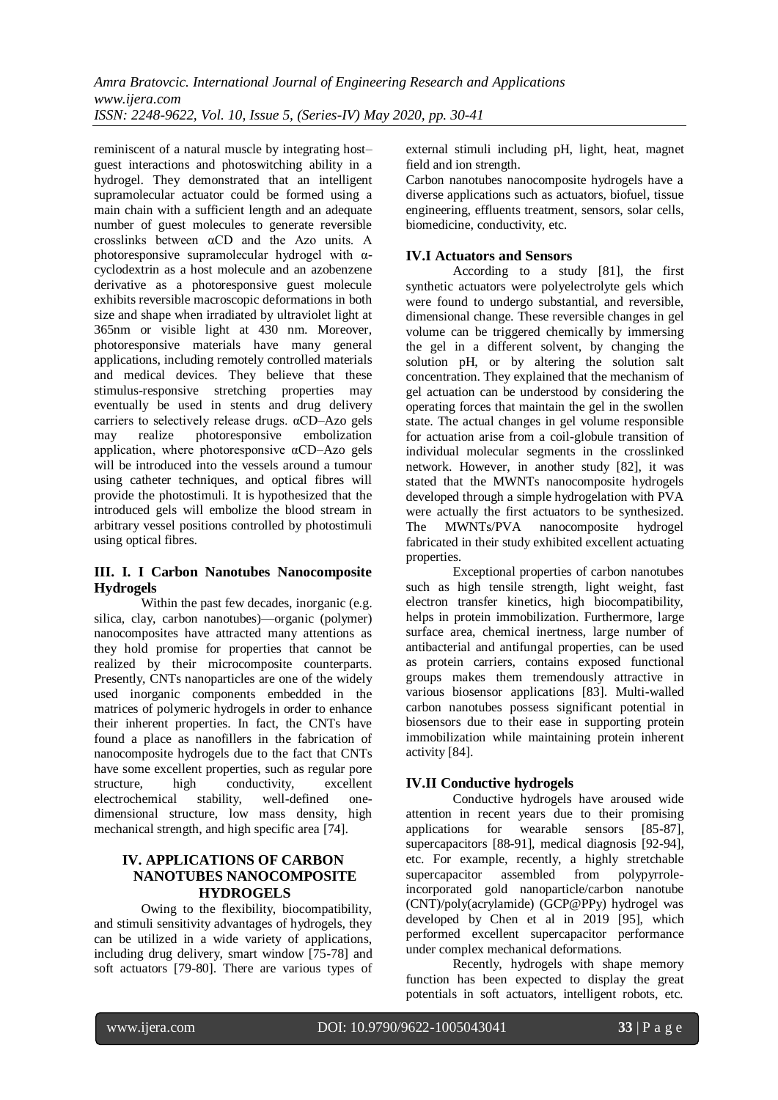reminiscent of a natural muscle by integrating host– guest interactions and photoswitching ability in a hydrogel. They demonstrated that an intelligent supramolecular actuator could be formed using a main chain with a sufficient length and an adequate number of guest molecules to generate reversible crosslinks between  $\alpha$ CD and the Azo units. A photoresponsive supramolecular hydrogel with  $\alpha$ cyclodextrin as a host molecule and an azobenzene derivative as a photoresponsive guest molecule exhibits reversible macroscopic deformations in both size and shape when irradiated by ultraviolet light at 365nm or visible light at 430 nm. Moreover, photoresponsive materials have many general applications, including remotely controlled materials and medical devices. They believe that these stimulus-responsive stretching properties may eventually be used in stents and drug delivery carriers to selectively release drugs. αCD–Azo gels may realize photoresponsive embolization application, where photoresponsive αCD–Azo gels will be introduced into the vessels around a tumour using catheter techniques, and optical fibres will provide the photostimuli. It is hypothesized that the introduced gels will embolize the blood stream in arbitrary vessel positions controlled by photostimuli using optical fibres.

## **III. I. I Carbon Nanotubes Nanocomposite Hydrogels**

Within the past few decades, inorganic (e.g. silica, clay, carbon nanotubes)—organic (polymer) nanocomposites have attracted many attentions as they hold promise for properties that cannot be realized by their microcomposite counterparts. Presently, CNTs nanoparticles are one of the widely used inorganic components embedded in the matrices of polymeric hydrogels in order to enhance their inherent properties. In fact, the CNTs have found a place as nanofillers in the fabrication of nanocomposite hydrogels due to the fact that CNTs have some excellent properties, such as regular pore structure, high conductivity, excellent electrochemical stability, well-defined onedimensional structure, low mass density, high mechanical strength, and high specific area [74].

#### **IV. APPLICATIONS OF CARBON NANOTUBES NANOCOMPOSITE HYDROGELS**

Owing to the flexibility, biocompatibility, and stimuli sensitivity advantages of hydrogels, they can be utilized in a wide variety of applications, including drug delivery, smart window [75-78] and soft actuators [79-80]. There are various types of

external stimuli including pH, light, heat, magnet field and ion strength.

Carbon nanotubes nanocomposite hydrogels have a diverse applications such as actuators, biofuel, tissue engineering, effluents treatment, sensors, solar cells, biomedicine, conductivity, etc.

# **IV.I Actuators and Sensors**

According to a study [81], the first synthetic actuators were polyelectrolyte gels which were found to undergo substantial, and reversible, dimensional change. These reversible changes in gel volume can be triggered chemically by immersing the gel in a different solvent, by changing the solution pH, or by altering the solution salt concentration. They explained that the mechanism of gel actuation can be understood by considering the operating forces that maintain the gel in the swollen state. The actual changes in gel volume responsible for actuation arise from a coil-globule transition of individual molecular segments in the crosslinked network. However, in another study [82], it was stated that the MWNTs nanocomposite hydrogels developed through a simple hydrogelation with PVA were actually the first actuators to be synthesized. The MWNTs/PVA nanocomposite hydrogel fabricated in their study exhibited excellent actuating properties.

Exceptional properties of carbon nanotubes such as high tensile strength, light weight, fast electron transfer kinetics, high biocompatibility, helps in protein immobilization. Furthermore, large surface area, chemical inertness, large number of antibacterial and antifungal properties, can be used as protein carriers, contains exposed functional groups makes them tremendously attractive in various biosensor applications [83]. Multi-walled carbon nanotubes possess significant potential in biosensors due to their ease in supporting protein immobilization while maintaining protein inherent activity [84].

# **IV.II Conductive hydrogels**

Conductive hydrogels have aroused wide attention in recent years due to their promising applications for wearable sensors [85-87], supercapacitors [88-91], medical diagnosis [92-94], etc. For example, recently, a highly stretchable supercapacitor assembled from incorporated gold nanoparticle/carbon nanotube (CNT)/poly(acrylamide) (GCP@PPy) hydrogel was developed by Chen et al in 2019 [95], which performed excellent supercapacitor performance under complex mechanical deformations.

Recently, hydrogels with shape memory function has been expected to display the great potentials in soft actuators, intelligent robots, etc.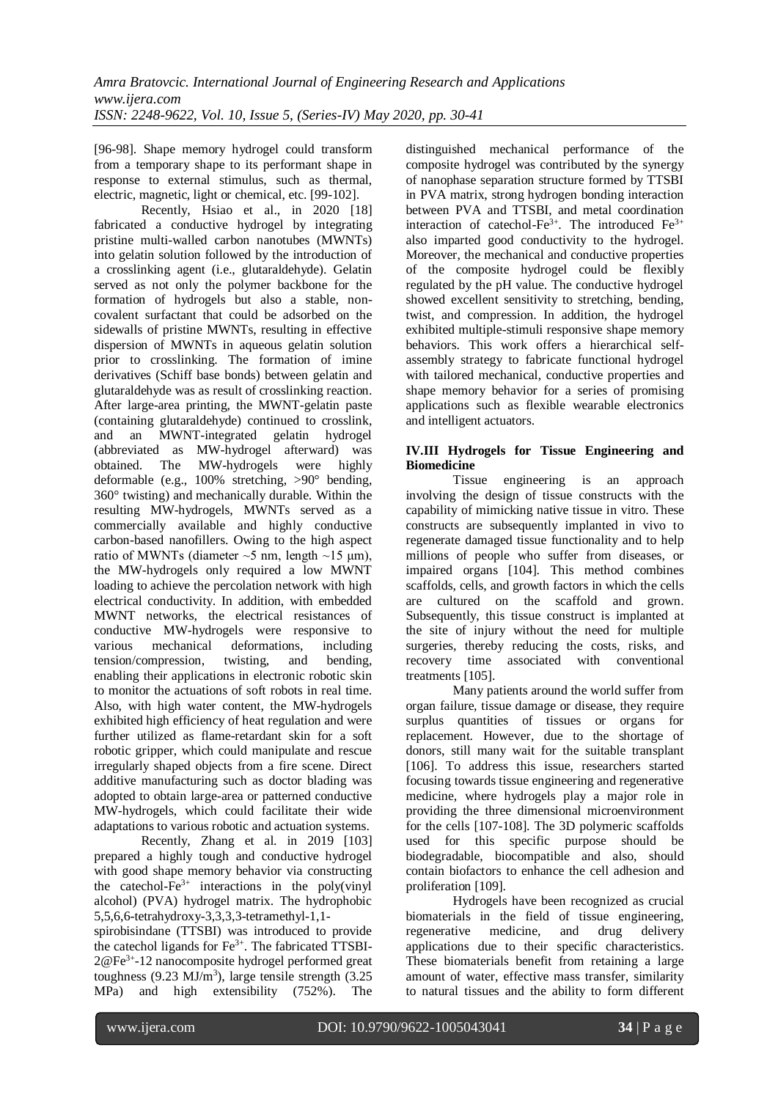[96-98]. Shape memory hydrogel could transform from a temporary shape to its performant shape in response to external stimulus, such as thermal, electric, magnetic, light or chemical, etc. [99-102].

Recently, Hsiao et al., in 2020 [18] fabricated a conductive hydrogel by integrating pristine multi-walled carbon nanotubes (MWNTs) into gelatin solution followed by the introduction of a crosslinking agent (i.e., glutaraldehyde). Gelatin served as not only the polymer backbone for the formation of hydrogels but also a stable, noncovalent surfactant that could be adsorbed on the sidewalls of pristine MWNTs, resulting in effective dispersion of MWNTs in aqueous gelatin solution prior to crosslinking. The formation of imine derivatives (Schiff base bonds) between gelatin and glutaraldehyde was as result of crosslinking reaction. After large-area printing, the MWNT-gelatin paste (containing glutaraldehyde) continued to crosslink, and an MWNT-integrated gelatin hydrogel (abbreviated as MW-hydrogel afterward) was obtained. The MW-hydrogels were highly deformable (e.g., 100% stretching, >90° bending, 360° twisting) and mechanically durable. Within the resulting MW-hydrogels, MWNTs served as a commercially available and highly conductive carbon-based nanofillers. Owing to the high aspect ratio of MWNTs (diameter  $\sim$ 5 nm, length  $\sim$ 15 µm), the MW-hydrogels only required a low MWNT loading to achieve the percolation network with high electrical conductivity. In addition, with embedded MWNT networks, the electrical resistances of conductive MW-hydrogels were responsive to various mechanical deformations, including<br>tension/compression, twisting, and bending. tension/compression, twisting, and bending, enabling their applications in electronic robotic skin to monitor the actuations of soft robots in real time. Also, with high water content, the MW-hydrogels exhibited high efficiency of heat regulation and were further utilized as flame-retardant skin for a soft robotic gripper, which could manipulate and rescue irregularly shaped objects from a fire scene. Direct additive manufacturing such as doctor blading was adopted to obtain large-area or patterned conductive MW-hydrogels, which could facilitate their wide adaptations to various robotic and actuation systems.

Recently, Zhang et al. in 2019 [103] prepared a highly tough and conductive hydrogel with good shape memory behavior via constructing the catechol- $Fe^{3+}$  interactions in the poly(vinyl) alcohol) (PVA) hydrogel matrix. The hydrophobic 5,5,6,6-tetrahydroxy-3,3,3,3-tetramethyl-1,1-

spirobisindane (TTSBI) was introduced to provide the catechol ligands for  $Fe^{3+}$ . The fabricated TTSBI-2@Fe3+ -12 nanocomposite hydrogel performed great toughness  $(9.23 \text{ MJ/m}^3)$ , large tensile strength  $(3.25 \text{ J})$ MPa) and high extensibility (752%). The

distinguished mechanical performance of the composite hydrogel was contributed by the synergy of nanophase separation structure formed by TTSBI in PVA matrix, strong hydrogen bonding interaction between PVA and TTSBI, and metal coordination interaction of catechol-Fe3+. The introduced Fe3+ also imparted good conductivity to the hydrogel. Moreover, the mechanical and conductive properties of the composite hydrogel could be flexibly regulated by the pH value. The conductive hydrogel showed excellent sensitivity to stretching, bending, twist, and compression. In addition, the hydrogel exhibited multiple-stimuli responsive shape memory behaviors. This work offers a hierarchical selfassembly strategy to fabricate functional hydrogel with tailored mechanical, conductive properties and shape memory behavior for a series of promising applications such as flexible wearable electronics and intelligent actuators.

#### **IV.III Hydrogels for Tissue Engineering and Biomedicine**

Tissue engineering is an approach involving the design of tissue constructs with the capability of mimicking native tissue in vitro. These constructs are subsequently implanted in vivo to regenerate damaged tissue functionality and to help millions of people who suffer from diseases, or impaired organs [104]. This method combines scaffolds, cells, and growth factors in which the cells are cultured on the scaffold and grown. Subsequently, this tissue construct is implanted at the site of injury without the need for multiple surgeries, thereby reducing the costs, risks, and recovery time associated with conventional treatments [105].

Many patients around the world suffer from organ failure, tissue damage or disease, they require surplus quantities of tissues or organs for replacement. However, due to the shortage of donors, still many wait for the suitable transplant [106]. To address this issue, researchers started focusing towards tissue engineering and regenerative medicine, where hydrogels play a major role in providing the three dimensional microenvironment for the cells [107-108]. The 3D polymeric scaffolds used for this specific purpose should be biodegradable, biocompatible and also, should contain biofactors to enhance the cell adhesion and proliferation [109].

Hydrogels have been recognized as crucial biomaterials in the field of tissue engineering, regenerative medicine, and drug delivery applications due to their specific characteristics. These biomaterials benefit from retaining a large amount of water, effective mass transfer, similarity to natural tissues and the ability to form different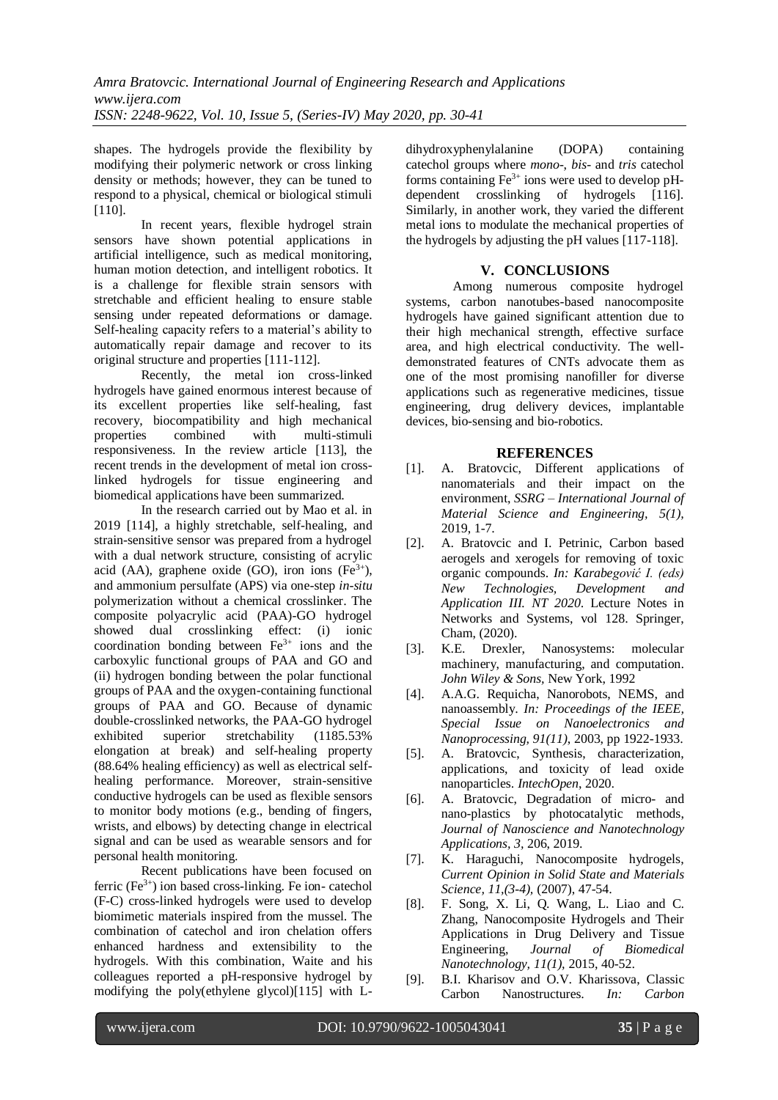shapes. The hydrogels provide the flexibility by modifying their polymeric network or cross linking density or methods; however, they can be tuned to respond to a physical, chemical or biological stimuli [110].

In recent years, flexible hydrogel strain sensors have shown potential applications in artificial intelligence, such as medical monitoring, human motion detection, and intelligent robotics. It is a challenge for flexible strain sensors with stretchable and efficient healing to ensure stable sensing under repeated deformations or damage. Self-healing capacity refers to a material's ability to automatically repair damage and recover to its original structure and properties [111-112].

Recently, the metal ion cross-linked hydrogels have gained enormous interest because of its excellent properties like self-healing, fast recovery, biocompatibility and high mechanical properties combined with multi-stimuli responsiveness. In the review article [113], the recent trends in the development of metal ion crosslinked hydrogels for tissue engineering and biomedical applications have been summarized.

In the research carried out by Mao et al. in 2019 [114], a highly stretchable, self-healing, and strain-sensitive sensor was prepared from a hydrogel with a dual network structure, consisting of acrylic acid (AA), graphene oxide (GO), iron ions  $(Fe^{3+})$ , and ammonium persulfate (APS) via one-step *in-situ*  polymerization without a chemical crosslinker. The composite polyacrylic acid (PAA)-GO hydrogel showed dual crosslinking effect: (i) ionic coordination bonding between  $Fe<sup>3+</sup>$  ions and the carboxylic functional groups of PAA and GO and (ii) hydrogen bonding between the polar functional groups of PAA and the oxygen-containing functional groups of PAA and GO. Because of dynamic double-crosslinked networks, the PAA-GO hydrogel exhibited superior stretchability (1185.53% elongation at break) and self-healing property (88.64% healing efficiency) as well as electrical selfhealing performance. Moreover, strain-sensitive conductive hydrogels can be used as flexible sensors to monitor body motions (e.g., bending of fingers, wrists, and elbows) by detecting change in electrical signal and can be used as wearable sensors and for personal health monitoring.

Recent publications have been focused on ferric  $(Fe^{3+})$  ion based cross-linking. Fe ion- catechol (F-C) cross-linked hydrogels were used to develop biomimetic materials inspired from the mussel. The combination of catechol and iron chelation offers enhanced hardness and extensibility to the hydrogels. With this combination, Waite and his colleagues reported a pH-responsive hydrogel by modifying the poly(ethylene glycol)[115] with L-

dihydroxyphenylalanine (DOPA) containing catechol groups where *mono-*, *bis-* and *tris* catechol forms containing  $Fe^{3+}$  ions were used to develop pHdependent crosslinking of hydrogels [116]. Similarly, in another work, they varied the different metal ions to modulate the mechanical properties of the hydrogels by adjusting the pH values [117-118].

# **V. CONCLUSIONS**

Among numerous composite hydrogel systems, carbon nanotubes-based nanocomposite hydrogels have gained significant attention due to their high mechanical strength, effective surface area, and high electrical conductivity. The welldemonstrated features of CNTs advocate them as one of the most promising nanofiller for diverse applications such as regenerative medicines, tissue engineering, drug delivery devices, implantable devices, bio-sensing and bio-robotics.

## **REFERENCES**

- [1]. A. Bratovcic, Different applications of nanomaterials and their impact on the environment, *SSRG – International Journal of Material Science and Engineering, 5(1),* 2019, 1-7.
- [2]. A. Bratovcic and I. Petrinic, Carbon based aerogels and xerogels for removing of toxic organic compounds. *In: Karabegović I. (eds) New Technologies, Development and Application III. NT 2020*. Lecture Notes in Networks and Systems, vol 128. Springer, Cham, (2020).
- [3]. K.E. Drexler, Nanosystems: molecular machinery, manufacturing, and computation. *John Wiley & Sons,* New York, 1992
- [4]. A.A.G. Requicha, Nanorobots, NEMS, and nanoassembly. *In: Proceedings of the IEEE, Special Issue on Nanoelectronics and Nanoprocessing, 91(11)*, 2003, pp 1922-1933.
- [5]. A. Bratovcic, Synthesis, characterization, applications, and toxicity of lead oxide nanoparticles. *IntechOpen*, 2020.
- [6]. A. Bratovcic, Degradation of micro- and nano-plastics by photocatalytic methods, *Journal of Nanoscience and Nanotechnology Applications, 3,* 206, 2019.
- [7]. K. Haraguchi, Nanocomposite hydrogels, *Current Opinion in Solid State and Materials Science, 11,(3-4),* (2007), 47-54.
- [8]. F. Song, X. Li, Q. Wang, L. Liao and C. Zhang, Nanocomposite Hydrogels and Their Applications in Drug Delivery and Tissue Engineering, *Journal of Biomedical Nanotechnology, 11(1),* 2015, 40-52.
- [9]. B.I. Kharisov and O.V. Kharissova, Classic Carbon Nanostructures. *In: Carbon*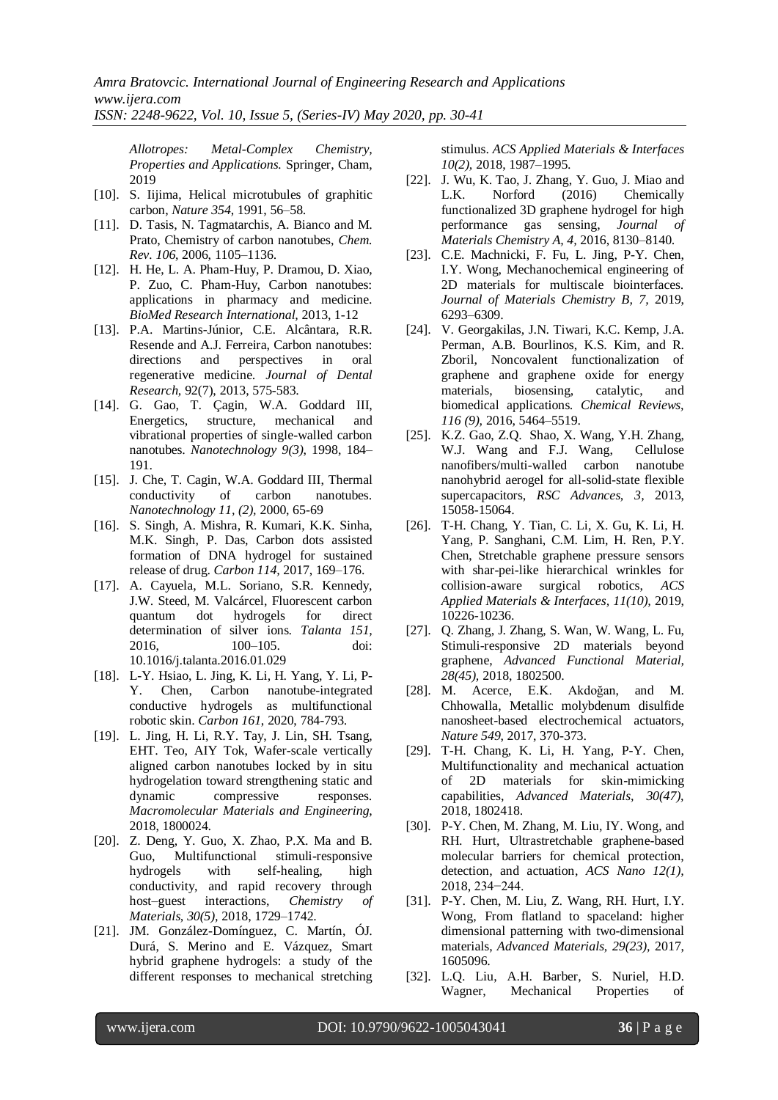*Allotropes: Metal-Complex Chemistry, Properties and Applications.* Springer, Cham, 2019

- [10]. S. Iiijma, Helical microtubules of graphitic carbon, *Nature 354*, 1991, 56–58.
- [11]. D. Tasis, N. Tagmatarchis, A. Bianco and M. Prato, Chemistry of carbon nanotubes, *Chem. Rev. 106*, 2006, 1105–1136.
- [12]. H. He, L. A. Pham-Huy, P. Dramou, D. Xiao, P. Zuo, C. Pham-Huy, Carbon nanotubes: applications in pharmacy and medicine. *BioMed Research International,* 2013, 1-12
- [13]. P.A. Martins-Júnior, C.E. Alcântara, R.R. Resende and A.J. Ferreira, Carbon nanotubes: directions and perspectives in oral regenerative medicine. *Journal of Dental Research,* 92(7), 2013, 575-583.
- [14]. G. Gao, T. Çagin, W.A. Goddard III, Energetics, structure, mechanical and vibrational properties of single-walled carbon nanotubes. *Nanotechnology 9(3)*, 1998, 184– 191.
- [15]. J. Che, T. Cagin, W.A. Goddard III, Thermal conductivity of carbon nanotubes. *Nanotechnology 11, (2),* 2000, 65-69
- [16]. S. Singh, A. Mishra, R. Kumari, K.K. Sinha, M.K. Singh, P. Das, Carbon dots assisted formation of DNA hydrogel for sustained release of drug. *Carbon 114,* 2017, 169–176.
- [17]. A. Cayuela, M.L. Soriano, S.R. Kennedy, J.W. Steed, M. Valcárcel, Fluorescent carbon quantum dot hydrogels for direct determination of silver ions. *Talanta 151,* 2016, 100–105. doi: 10.1016/j.talanta.2016.01.029
- [18]. L-Y. Hsiao, L. Jing, K. Li, H. Yang, Y. Li, P-Y. Chen, Carbon nanotube-integrated conductive hydrogels as multifunctional robotic skin. *Carbon 161*, 2020, 784-793.
- [19]. L. Jing, H. Li, R.Y. Tay, J. Lin, SH. Tsang, EHT. Teo, AIY Tok, Wafer-scale vertically aligned carbon nanotubes locked by in situ hydrogelation toward strengthening static and dynamic compressive responses. *Macromolecular Materials and Engineering*, 2018, 1800024.
- [20]. Z. Deng, Y. Guo, X. Zhao, P.X. Ma and B. Guo, Multifunctional stimuli-responsive hydrogels with self-healing, high conductivity, and rapid recovery through host–guest interactions, *Chemistry of Materials, 30(5),* 2018, 1729–1742.
- [21]. JM. González-Domínguez, C. Martín, ÓJ. Durá, S. Merino and E. Vázquez, Smart hybrid graphene hydrogels: a study of the different responses to mechanical stretching

stimulus. *ACS Applied Materials & Interfaces 10(2),* 2018, 1987–1995.

- [22]. J. Wu, K. Tao, J. Zhang, Y. Guo, J. Miao and L.K. Norford (2016) Chemically functionalized 3D graphene hydrogel for high performance gas sensing, *Journal of Materials Chemistry A, 4,* 2016, 8130–8140.
- [23]. C.E. Machnicki, F. Fu, L. Jing, P-Y. Chen, I.Y. Wong, Mechanochemical engineering of 2D materials for multiscale biointerfaces. *Journal of Materials Chemistry B, 7,* 2019, 6293–6309.
- [24]. V. Georgakilas, J.N. Tiwari, K.C. Kemp, J.A. Perman, A.B. Bourlinos, K.S. Kim, and R. Zboril, Noncovalent functionalization of graphene and graphene oxide for energy materials, biosensing, catalytic, and biomedical applications. *Chemical Reviews, 116 (9),* 2016, 5464–5519.
- [25]. K.Z. Gao, Z.Q. Shao, X. Wang, Y.H. Zhang, W.J. Wang and F.J. Wang, Cellulose nanofibers/multi-walled carbon nanotube nanohybrid aerogel for all-solid-state flexible supercapacitors, *RSC Advances, 3,* 2013, 15058-15064.
- [26]. T-H. Chang, Y. Tian, C. Li, X. Gu, K. Li, H. Yang, P. Sanghani, C.M. Lim, H. Ren, P.Y. Chen, Stretchable graphene pressure sensors with shar-pei-like hierarchical wrinkles for collision-aware surgical robotics, *ACS Applied Materials & Interfaces, 11(10),* 2019, 10226-10236.
- [27]. Q. Zhang, J. Zhang, S. Wan, W. Wang, L. Fu, Stimuli-responsive 2D materials beyond graphene, *Advanced Functional Material, 28(45),* 2018, 1802500.
- [28]. M. Acerce, E.K. Akdoğan, and M. Chhowalla, Metallic molybdenum disulfide nanosheet-based electrochemical actuators, *Nature 549*, 2017, 370-373.
- [29]. T-H. Chang, K. Li, H. Yang, P-Y. Chen, Multifunctionality and mechanical actuation of 2D materials for skin-mimicking capabilities, *Advanced Materials, 30(47),* 2018, 1802418.
- [30]. P-Y. Chen, M. Zhang, M. Liu, IY. Wong, and RH. Hurt, Ultrastretchable graphene-based molecular barriers for chemical protection, detection, and actuation, *ACS Nano 12(1),* 2018, 234−244.
- [31]. P-Y. Chen, M. Liu, Z. Wang, RH. Hurt, I.Y. Wong, From flatland to spaceland: higher dimensional patterning with two-dimensional materials, *Advanced Materials, 29(23),* 2017, 1605096.
- [32]. L.Q. Liu, A.H. Barber, S. Nuriel, H.D. Wagner, Mechanical Properties of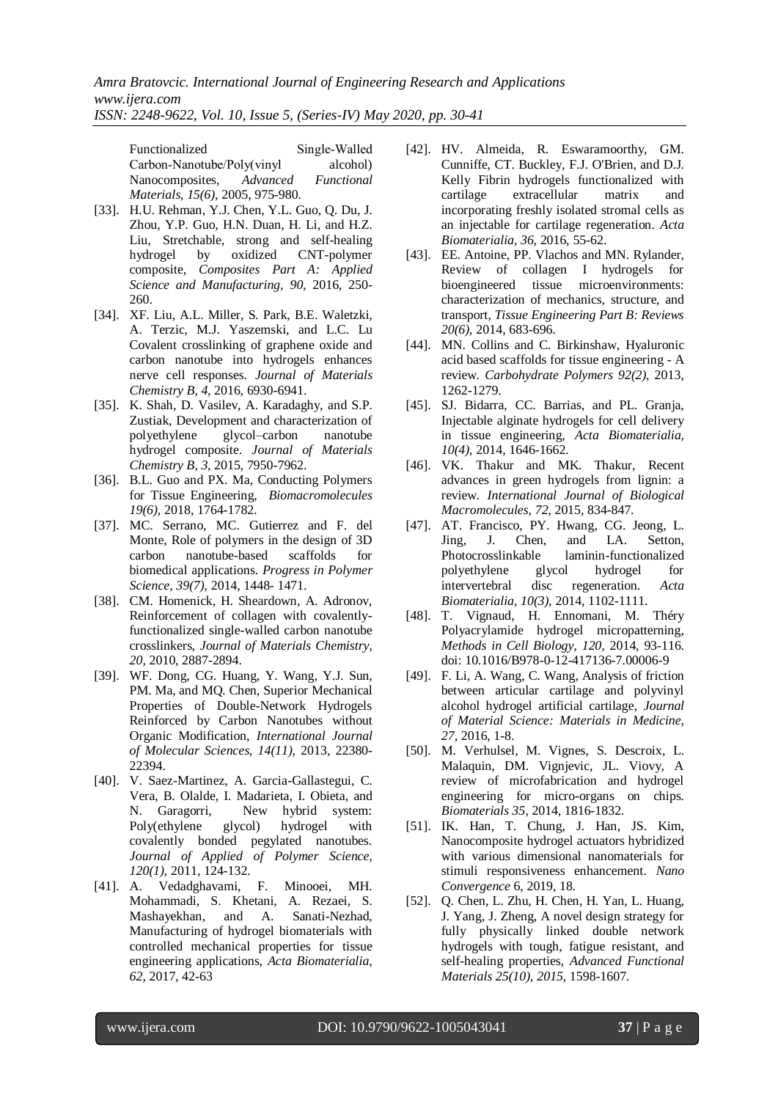*Amra Bratovcic. International Journal of Engineering Research and Applications www.ijera.com*

*ISSN: 2248-9622, Vol. 10, Issue 5, (Series-IV) May 2020, pp. 30-41*

Functionalized Single‐Walled Carbon‐Nanotube/Poly(vinyl alcohol) Nanocomposites, *Advanced Functional Materials, 15(6)*, 2005, 975-980.

- [33]. H.U. Rehman, Y.J. Chen, Y.L. Guo, Q. Du, J. Zhou, Y.P. Guo, H.N. Duan, H. Li, and H.Z. Liu, [Stretchable, strong and self-healing](https://www.sciencedirect.com/science/article/pii/S1359835X16302330)  [hydrogel by oxidized CNT-polymer](https://www.sciencedirect.com/science/article/pii/S1359835X16302330)  [composite,](https://www.sciencedirect.com/science/article/pii/S1359835X16302330) *Composites Part A: Applied Science and Manufacturing, 90,* 2016, 250- 260.
- [34]. XF. Liu, A.L. Miller, S. Park, B.E. Waletzki, A. Terzic, M.J. Yaszemski, and L.C. Lu Covalent crosslinking of graphene oxide and carbon nanotube into hydrogels enhances nerve cell responses. *Journal of Materials Chemistry B, 4,* 2016, 6930-6941.
- [35]. K. Shah, D. Vasilev, A. Karadaghy, and S.P. Zustiak, Development and characterization of polyethylene glycol–carbon nanotube hydrogel composite. *Journal of Materials Chemistry B, 3,* 2015, 7950-7962.
- [36]. B.L. Guo and PX. Ma, Conducting Polymers for Tissue Engineering, *Biomacromolecules 19(6),* 2018, 1764-1782.
- [37]. MC. Serrano, MC. Gutierrez and F. del Monte, [Role of polymers in the design of 3D](https://www.sciencedirect.com/science/article/pii/S0079670014000240)  [carbon nanotube-based scaffolds for](https://www.sciencedirect.com/science/article/pii/S0079670014000240)  [biomedical applications.](https://www.sciencedirect.com/science/article/pii/S0079670014000240) *Progress in Polymer Science, 39(7),* 2014, 1448- 1471.
- [38]. CM. Homenick, H. Sheardown, A. Adronov, Reinforcement of collagen with covalentlyfunctionalized single-walled carbon nanotube crosslinkers, *Journal of Materials Chemistry, 20,* 2010, 2887-2894.
- [39]. WF. Dong, CG. Huang, Y. Wang, Y.J. Sun, PM. Ma, and MQ. Chen, Superior Mechanical Properties of Double-Network Hydrogels Reinforced by Carbon Nanotubes without Organic Modification, *International Journal of Molecular Sciences, 14(11),* 2013, 22380- 22394.
- [40]. V. Saez-Martinez, A. Garcia-Gallastegui, C. Vera, B. Olalde, I. Madarieta, I. Obieta, and N. Garagorri, New hybrid system: Poly(ethylene glycol) hydrogel with covalently bonded pegylated nanotubes. *Journal of Applied of Polymer Science, 120(1),* 2011, 124-132.
- [41]. A. Vedadghavami, F. Minooei, MH. Mohammadi, S. Khetani, A. Rezaei, S. Mashayekhan, and A. Sanati-Nezhad, Manufacturing of hydrogel biomaterials with controlled mechanical properties for tissue engineering applications, *Acta Biomaterialia, 62*, 2017, 42-63
- [42]. HV. Almeida, R. Eswaramoorthy, GM. Cunniffe, CT. Buckley, F.J. O'Brien, and D.J. Kelly Fibrin hydrogels functionalized with cartilage extracellular matrix and incorporating freshly isolated stromal cells as an injectable for cartilage regeneration. *Acta Biomaterialia, 36,* 2016, 55-62.
- [43]. EE. Antoine, PP. Vlachos and MN. Rylander, Review of collagen I hydrogels for bioengineered tissue microenvironments: characterization of mechanics, structure, and transport, *Tissue Engineering Part B: Reviews 20(6),* 2014, 683-696.
- [44]. MN. Collins and C. Birkinshaw, Hyaluronic acid based scaffolds for tissue engineering - A review. *Carbohydrate Polymers 92(2),* 2013, 1262-1279.
- [45]. SJ. Bidarra, CC. Barrias, and PL. Granja, Injectable alginate hydrogels for cell delivery in tissue engineering, *Acta Biomaterialia, 10(4),* 2014, 1646-1662.
- [46]. VK. Thakur and MK. Thakur, Recent advances in green hydrogels from lignin: a review. *International Journal of Biological Macromolecules, 72*, 2015, 834-847.
- [47]. AT. Francisco, PY. Hwang, CG. Jeong, L. Jing, J. Chen, and LA. Setton, Photocrosslinkable laminin-functionalized polyethylene glycol hydrogel for intervertebral disc regeneration. *Acta Biomaterialia, 10(3)*, 2014, 1102-1111.
- [48]. T. Vignaud, H. Ennomani, M. Théry Polyacrylamide hydrogel micropatterning, *Methods in Cell Biology, 120,* 2014, 93-116. doi: 10.1016/B978-0-12-417136-7.00006-9
- [49]. F. Li, A. Wang, C. Wang, Analysis of friction between articular cartilage and polyvinyl alcohol hydrogel artificial cartilage, *Journal of Material Science: Materials in Medicine, 27,* 2016, 1-8.
- [50]. M. Verhulsel, M. Vignes, S. Descroix, L. Malaquin, DM. Vignjevic, JL. Viovy, A review of microfabrication and hydrogel engineering for micro-organs on chips. *Biomaterials 35,* 2014, 1816-1832.
- [51]. IK. Han, T. Chung, J. Han, JS. Kim, Nanocomposite hydrogel actuators hybridized with various dimensional nanomaterials for stimuli responsiveness enhancement. *Nano Convergence* 6, 2019, 18.
- [52]. Q. Chen, L. Zhu, H. Chen, H. Yan, L. Huang, J. Yang, J. Zheng, A novel design strategy for fully physically linked double network hydrogels with tough, fatigue resistant, and self-healing properties, *Advanced Functional Materials 25(10), 2015,* 1598-1607.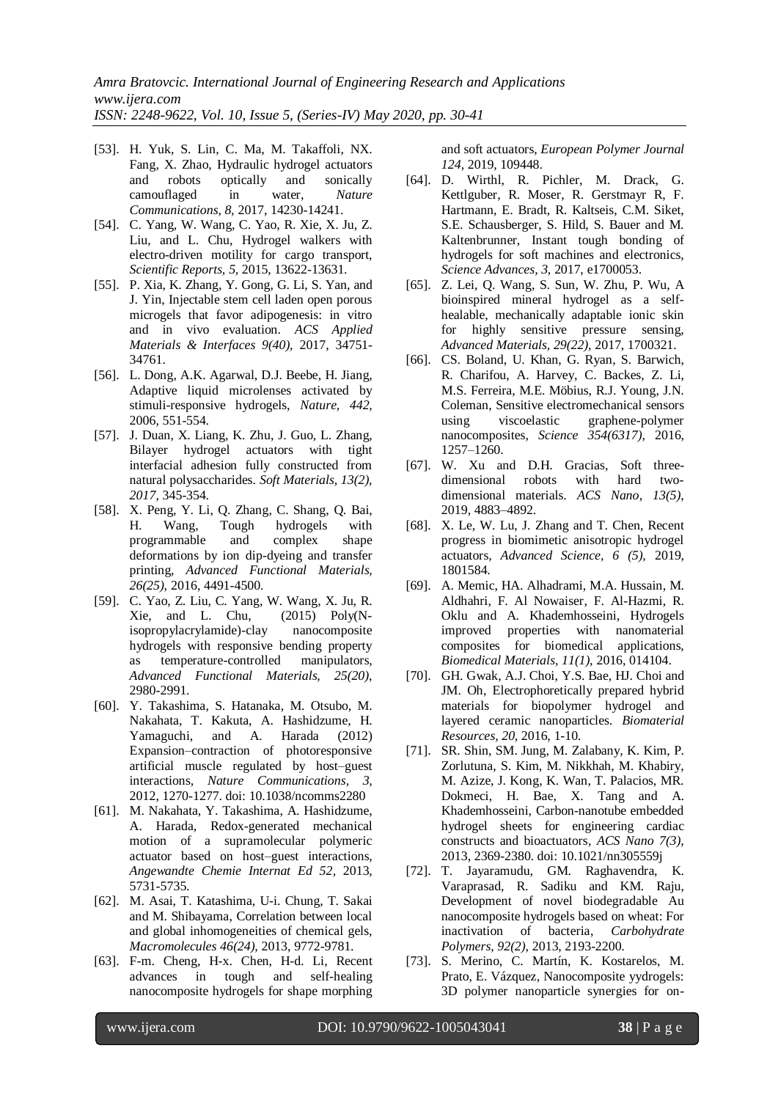- [53]. H. Yuk, S. Lin, C. Ma, M. Takaffoli, NX. Fang, X. Zhao, Hydraulic hydrogel actuators and robots optically and sonically camouflaged in water, *Nature Communications, 8,* 2017, 14230-14241.
- [54]. C. Yang, W. Wang, C. Yao, R. Xie, X. Ju, Z. Liu, and L. Chu, Hydrogel walkers with electro-driven motility for cargo transport, *Scientific Reports, 5,* 2015, 13622-13631.
- [55]. P. Xia, K. Zhang, Y. Gong, G. Li, S. Yan, and J. Yin, Injectable stem cell laden open porous microgels that favor adipogenesis: in vitro and in vivo evaluation. *ACS Applied Materials & Interfaces 9(40),* 2017, 34751- 34761.
- [56]. L. Dong, A.K. Agarwal, D.J. Beebe, H. Jiang, Adaptive liquid microlenses activated by stimuli-responsive hydrogels, *Nature, 442,* 2006, 551-554.
- [57]. J. Duan, X. Liang, K. Zhu, J. Guo, L. Zhang, Bilayer hydrogel actuators with tight interfacial adhesion fully constructed from natural polysaccharides. *Soft Materials, 13(2), 2017,* 345-354.
- [58]. X. Peng, Y. Li, Q. Zhang, C. Shang, Q. Bai, H. Wang, Tough hydrogels with programmable and complex shape deformations by ion dip-dyeing and transfer printing, *Advanced Functional Materials, 26(25),* 2016, 4491-4500.
- [59]. C. Yao, Z. Liu, C. Yang, W. Wang, X. Ju, R. Xie, and L. Chu, (2015) Poly(Nisopropylacrylamide)-clay nanocomposite hydrogels with responsive bending property as temperature-controlled manipulators, *Advanced Functional Materials, 25(20)*, 2980-2991.
- [60]. Y. Takashima, S. Hatanaka, M. Otsubo, M. Nakahata, T. Kakuta, A. Hashidzume, H. Yamaguchi, and A. Harada (2012) Expansion–contraction of photoresponsive artificial muscle regulated by host–guest interactions, *Nature Communications, 3,* 2012, 1270-1277. doi: 10.1038/ncomms2280
- [61]. M. Nakahata, Y. Takashima, A. Hashidzume, A. Harada, Redox-generated mechanical motion of a supramolecular polymeric actuator based on host–guest interactions, *Angewandte Chemie Internat Ed 52,* 2013, 5731-5735.
- [62]. M. Asai, T. Katashima, U-i. Chung, T. Sakai and M. Shibayama, Correlation between local and global inhomogeneities of chemical gels, *Macromolecules 46(24),* 2013, 9772-9781.
- [63]. F-m. Cheng, H-x. Chen, H-d. Li, Recent advances in tough and self-healing nanocomposite hydrogels for shape morphing

and soft actuators, *European Polymer Journal 124*, 2019, 109448.

- [64]. D. Wirthl, R. Pichler, M. Drack, G. Kettlguber, R. Moser, R. Gerstmayr R, F. Hartmann, E. Bradt, R. Kaltseis, C.M. Siket, S.E. Schausberger, S. Hild, S. Bauer and M. Kaltenbrunner, Instant tough bonding of hydrogels for soft machines and electronics, *Science Advances, 3,* 2017, e1700053.
- [65]. Z. Lei, Q. Wang, S. Sun, W. Zhu, P. Wu, A bioinspired mineral hydrogel as a selfhealable, mechanically adaptable ionic skin for highly sensitive pressure sensing, *Advanced Materials, 29(22),* 2017, 1700321.
- [66]. CS. Boland, U. Khan, G. Ryan, S. Barwich, R. Charifou, A. Harvey, C. Backes, Z. Li, M.S. Ferreira, M.E. Möbius, R.J. Young, J.N. Coleman, Sensitive electromechanical sensors using viscoelastic graphene-polymer nanocomposites, *Science 354(6317)*, 2016, 1257–1260.
- [67]. W. Xu and D.H. Gracias, Soft threedimensional robots with hard twodimensional materials. *ACS Nano, 13(5)*, 2019, 4883–4892.
- [68]. X. Le, W. Lu, J. Zhang and T. Chen, Recent progress in biomimetic anisotropic hydrogel actuators, *Advanced Science, 6 (5),* 2019, 1801584.
- [69]. A. Memic, HA. Alhadrami, M.A. Hussain, M. Aldhahri, F. Al Nowaiser, F. Al-Hazmi, R. Oklu and A. Khademhosseini, Hydrogels improved properties with nanomaterial composites for biomedical applications, *Biomedical Materials, 11(1)*, 2016, 014104.
- [70]. GH. Gwak, A.J. Choi, Y.S. Bae, HJ. Choi and JM. Oh, Electrophoretically prepared hybrid materials for biopolymer hydrogel and layered ceramic nanoparticles. *Biomaterial Resources, 20,* 2016, 1-10.
- [71]. SR. Shin, SM. Jung, M. Zalabany, K. Kim, P. Zorlutuna, S. Kim, M. Nikkhah, M. Khabiry, M. Azize, J. Kong, K. Wan, T. Palacios, MR. Dokmeci, H. Bae, X. Tang and A. Khademhosseini, Carbon-nanotube embedded hydrogel sheets for engineering cardiac constructs and bioactuators, *ACS Nano 7(3)*, 2013, 2369-2380. doi: 10.1021/nn305559j
- [72]. T. Jayaramudu, GM. Raghavendra, K. Varaprasad, R. Sadiku and KM. Raju, Development of novel biodegradable Au nanocomposite hydrogels based on wheat: For inactivation of bacteria, *Carbohydrate Polymers, 92(2)*, 2013, 2193-2200.
- [73]. S. Merino, C. Martín, K. Kostarelos, M. Prato, E. Vázquez, Nanocomposite yydrogels: 3D polymer nanoparticle synergies for on-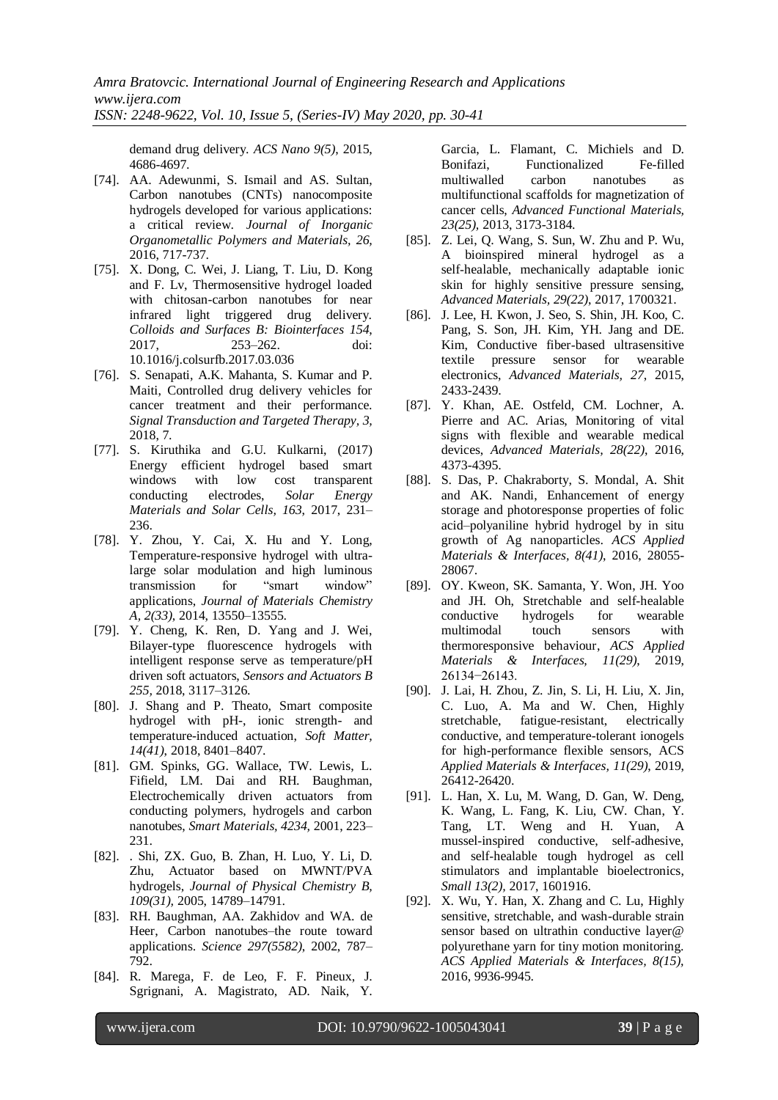demand drug delivery. *ACS Nano 9(5)*, 2015, 4686-4697.

- [74]. AA. Adewunmi, S. Ismail and AS. Sultan, Carbon nanotubes (CNTs) nanocomposite hydrogels developed for various applications: a critical review. *Journal of Inorganic Organometallic Polymers and Materials, 26,* 2016, 717-737.
- [75]. X. Dong, C. Wei, J. Liang, T. Liu, D. Kong and F. Lv, Thermosensitive hydrogel loaded with chitosan-carbon nanotubes for near infrared light triggered drug delivery. *Colloids and Surfaces B: Biointerfaces 154*, 2017, 253–262. doi: 10.1016/j.colsurfb.2017.03.036
- [76]. S. Senapati, A.K. Mahanta, S. Kumar and P. Maiti, Controlled drug delivery vehicles for cancer treatment and their performance. *Signal Transduction and Targeted Therapy, 3,* 2018, 7.
- [77]. S. Kiruthika and G.U. Kulkarni, (2017) Energy efficient hydrogel based smart windows with low cost transparent conducting electrodes, *Solar Energy Materials and Solar Cells, 163*, 2017, 231– 236.
- [78]. Y. Zhou, Y. Cai, X. Hu and Y. Long, Temperature-responsive hydrogel with ultralarge solar modulation and high luminous transmission for "smart window" applications, *Journal of Materials Chemistry A, 2(33)*, 2014, 13550–13555.
- [79]. Y. Cheng, K. Ren, D. Yang and J. Wei, Bilayer-type fluorescence hydrogels with intelligent response serve as temperature/pH driven soft actuators, *Sensors and Actuators B 255,* 2018, 3117–3126.
- [80]. J. Shang and P. Theato, Smart composite hydrogel with pH-, ionic strength- and temperature-induced actuation, *Soft Matter, 14(41)*, 2018, 8401–8407.
- [81]. GM. Spinks, GG. Wallace, TW. Lewis, L. Fifield, LM. Dai and RH. Baughman, Electrochemically driven actuators from conducting polymers, hydrogels and carbon nanotubes, *Smart Materials, 4234,* 2001, 223– 231.
- [82]. . Shi, ZX. Guo, B. Zhan, H. Luo, Y. Li, D. Zhu, Actuator based on MWNT/PVA hydrogels, *Journal of Physical Chemistry B, 109(31),* 2005, 14789–14791.
- [83]. RH. Baughman, AA. Zakhidov and WA. de Heer, Carbon nanotubes–the route toward applications. *Science 297(5582)*, 2002, 787– 792.
- [84]. R. Marega, F. de Leo, F. F. Pineux, J. Sgrignani, A. Magistrato, AD. Naik, Y.

Garcia, L. Flamant, C. Michiels and D. Bonifazi, Functionalized Fe-filled multiwalled carbon nanotubes as multifunctional scaffolds for magnetization of cancer cells, *Advanced Functional Materials, 23(25),* 2013, 3173-3184.

- [85]. Z. Lei, Q. Wang, S. Sun, W. Zhu and P. Wu, A bioinspired mineral hydrogel as a self‐healable, mechanically adaptable ionic skin for highly sensitive pressure sensing, *Advanced Materials, 29(22)*, 2017, 1700321.
- [86]. J. Lee, H. Kwon, J. Seo, S. Shin, JH. Koo, C. Pang, S. Son, JH. Kim, YH. Jang and DE. Kim, Conductive fiber-based ultrasensitive textile pressure sensor for wearable electronics, *Advanced Materials, 27*, 2015, 2433-2439.
- [87]. Y. Khan, AE. Ostfeld, CM. Lochner, A. Pierre and AC. Arias, Monitoring of vital signs with flexible and wearable medical devices, *Advanced Materials, 28(22)*, 2016, 4373-4395.
- [88]. S. Das, P. Chakraborty, S. Mondal, A. Shit and AK. Nandi, Enhancement of energy storage and photoresponse properties of folic acid–polyaniline hybrid hydrogel by in situ growth of Ag nanoparticles. *ACS Applied Materials & Interfaces, 8(41)*, 2016, 28055- 28067.
- [89]. OY. Kweon, SK. Samanta, Y. Won, JH. Yoo and JH. Oh, Stretchable and self-healable conductive hydrogels for wearable multimodal touch sensors with thermoresponsive behaviour, *ACS Applied Materials & Interfaces, 11(29)*, 2019, 26134−26143.
- [90]. J. Lai, H. Zhou, Z. Jin, S. Li, H. Liu, X. Jin, C. Luo, A. Ma and W. Chen, Highly stretchable, fatigue-resistant, electrically conductive, and temperature-tolerant ionogels for high-performance flexible sensors, ACS *Applied Materials & Interfaces, 11(29)*, 2019, 26412-26420.
- [91]. L. Han, X. Lu, M. Wang, D. Gan, W. Deng, K. Wang, L. Fang, K. Liu, CW. Chan, Y. Tang, LT. Weng and H. Yuan, A mussel‐inspired conductive, self‐adhesive, and self‐healable tough hydrogel as cell stimulators and implantable bioelectronics, *Small 13(2),* 2017, 1601916.
- [92]. X. Wu, Y. Han, X. Zhang and C. Lu, Highly sensitive, stretchable, and wash-durable strain sensor based on ultrathin conductive layer@ polyurethane yarn for tiny motion monitoring. *ACS Applied Materials & Interfaces, 8(15),* 2016, 9936-9945.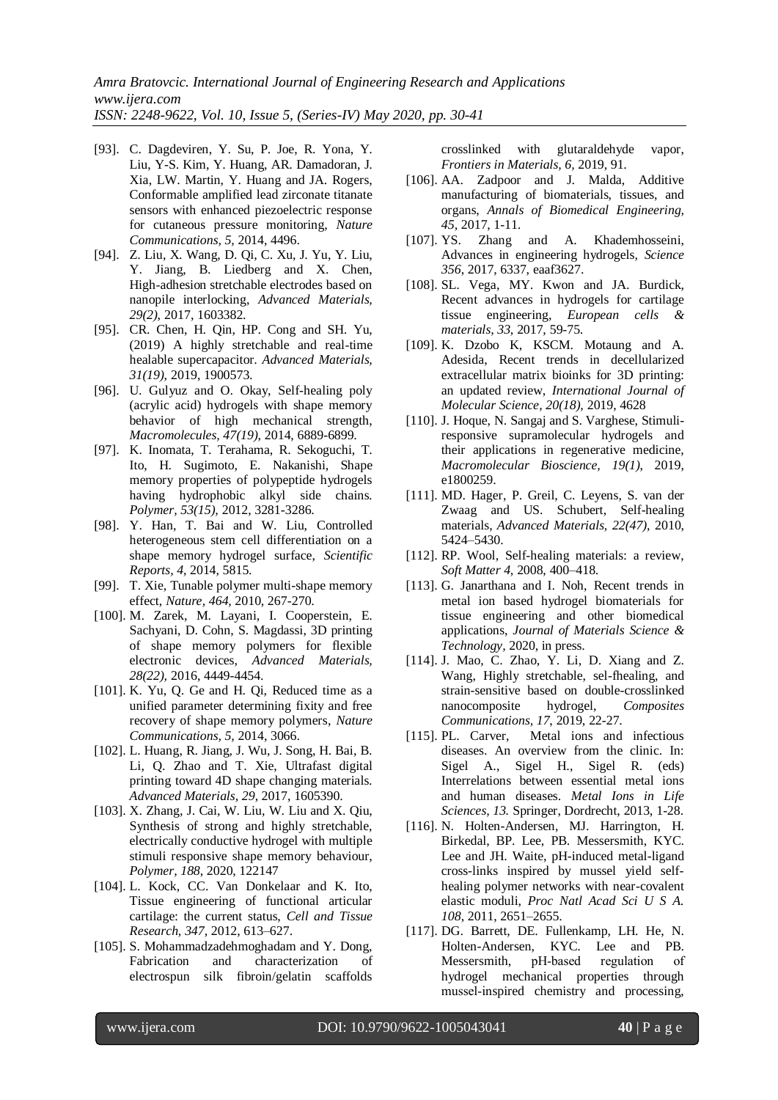- [93]. C. Dagdeviren, Y. Su, P. Joe, R. Yona, Y. Liu, Y-S. Kim, Y. Huang, AR. Damadoran, J. Xia, LW. Martin, Y. Huang and JA. Rogers, Conformable amplified lead zirconate titanate sensors with enhanced piezoelectric response for cutaneous pressure monitoring, *Nature Communications, 5,* 2014, 4496.
- [94]. Z. Liu, X. Wang, D. Qi, C. Xu, J. Yu, Y. Liu, Y. Jiang, B. Liedberg and X. Chen, High‐adhesion stretchable electrodes based on nanopile interlocking, *Advanced Materials, 29(2)*, 2017, 1603382.
- [95]. CR. Chen, H. Qin, HP. Cong and SH. Yu, (2019) A highly stretchable and real‐time healable supercapacitor. *Advanced Materials, 31(19)*, 2019, 1900573.
- [96]. U. Gulyuz and O. Okay, Self-healing poly (acrylic acid) hydrogels with shape memory behavior of high mechanical strength, *Macromolecules, 47(19)*, 2014, 6889-6899.
- [97]. K. Inomata, T. Terahama, R. Sekoguchi, T. Ito, H. Sugimoto, E. Nakanishi, Shape memory properties of polypeptide hydrogels having hydrophobic alkyl side chains. *Polymer, 53(15),* 2012, 3281-3286.
- [98]. Y. Han, T. Bai and W. Liu, Controlled heterogeneous stem cell differentiation on a shape memory hydrogel surface, *Scientific Reports, 4*, 2014, 5815.
- [99]. T. Xie, Tunable polymer multi-shape memory effect, *Nature, 464,* 2010, 267-270.
- [100]. M. Zarek, M. Layani, I. Cooperstein, E. Sachyani, D. Cohn, S. Magdassi, 3D printing of shape memory polymers for flexible electronic devices, *Advanced Materials, 28(22),* 2016, 4449-4454.
- [101]. K. Yu, Q. Ge and H. Qi, Reduced time as a unified parameter determining fixity and free recovery of shape memory polymers, *Nature Communications, 5,* 2014, 3066.
- [102]. L. Huang, R. Jiang, J. Wu, J. Song, H. Bai, B. Li, Q. Zhao and T. Xie, Ultrafast digital printing toward 4D shape changing materials. *Advanced Materials, 29*, 2017, 1605390.
- [103]. X. Zhang, J. Cai, W. Liu, W. Liu and X. Qiu, Synthesis of strong and highly stretchable, electrically conductive hydrogel with multiple stimuli responsive shape memory behaviour, *Polymer, 188*, 2020, 122147
- [104]. L. Kock, CC. Van Donkelaar and K. Ito, Tissue engineering of functional articular cartilage: the current status, *Cell and Tissue Research, 347*, 2012, 613–627.
- [105]. S. Mohammadzadehmoghadam and Y. Dong, Fabrication and characterization of electrospun silk fibroin/gelatin scaffolds

crosslinked with glutaraldehyde vapor, *Frontiers in Materials, 6,* 2019, 91.

- [106]. AA. Zadpoor and J. Malda, Additive manufacturing of biomaterials, tissues, and organs, *Annals of Biomedical Engineering, 45,* 2017, 1-11.
- [107]. YS. Zhang and A. Khademhosseini, Advances in engineering hydrogels, *Science 356*, 2017, 6337, eaaf3627.
- [108]. SL. Vega, MY. Kwon and JA. Burdick, Recent advances in hydrogels for cartilage tissue engineering, *European cells & materials, 33*, 2017, 59-75.
- [109]. K. Dzobo K, KSCM. Motaung and A. Adesida, Recent trends in decellularized extracellular matrix bioinks for 3D printing: an updated review, *International Journal of Molecular Science, 20(18),* 2019, 4628
- [110]. J. Hoque, N. Sangaj and S. Varghese, Stimuliresponsive supramolecular hydrogels and their applications in regenerative medicine, *Macromolecular Bioscience, 19(1)*, 2019, e1800259.
- [111]. MD. Hager, P. Greil, C. Leyens, S. van der Zwaag and US. Schubert, Self-healing materials, *Advanced Materials, 22(47),* 2010, 5424–5430.
- [112]. RP. Wool, Self-healing materials: a review, *Soft Matter 4,* 2008, 400–418.
- [113]. G. Janarthana and I. Noh, Recent trends in metal ion based hydrogel biomaterials for tissue engineering and other biomedical applications, *Journal of Materials Science & Technology,* 2020, in press.
- [114]. J. Mao, C. Zhao, Y. Li, D. Xiang and Z. Wang, Highly stretchable, sel-fhealing, and strain-sensitive based on double-crosslinked nanocomposite hydrogel, *Composites Communications, 17*, 2019, 22-27.
- [115]. PL. Carver, Metal ions and infectious diseases. An overview from the clinic. In: Sigel A., Sigel H., Sigel R. (eds) Interrelations between essential metal ions and human diseases. *Metal Ions in Life Sciences, 13.* Springer, Dordrecht, 2013, 1-28.
- [116]. N. Holten-Andersen, MJ. Harrington, H. Birkedal, BP. Lee, PB. Messersmith, KYC. Lee and JH. Waite, pH-induced metal-ligand cross-links inspired by mussel yield selfhealing polymer networks with near-covalent elastic moduli, *Proc Natl Acad Sci U S A. 108*, 2011, 2651–2655.
- [117]. DG. Barrett, DE. Fullenkamp, LH. He, N. Holten-Andersen, KYC. Lee and PB. Messersmith, pH-based regulation of hydrogel mechanical properties through mussel‐inspired chemistry and processing,